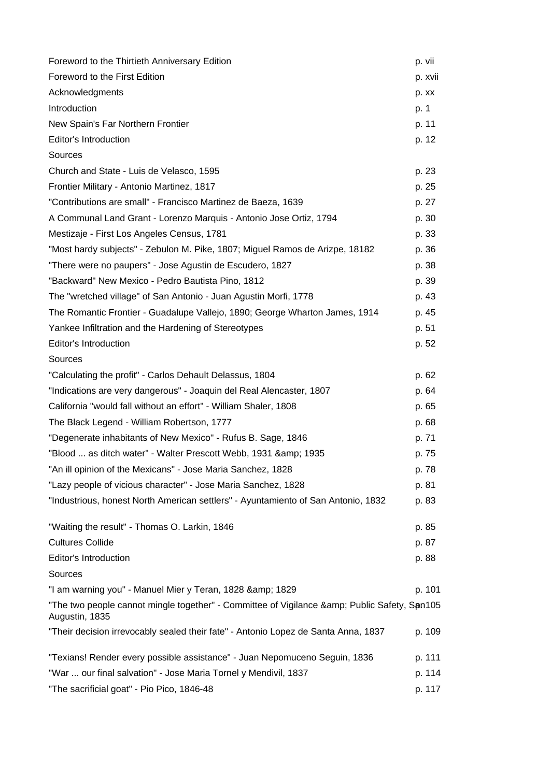| Foreword to the Thirtieth Anniversary Edition                                                              | p. vii  |
|------------------------------------------------------------------------------------------------------------|---------|
| Foreword to the First Edition                                                                              | p. xvii |
| Acknowledgments                                                                                            | p. xx   |
| Introduction                                                                                               | p. 1    |
| New Spain's Far Northern Frontier                                                                          | p. 11   |
| Editor's Introduction                                                                                      | p. 12   |
| Sources                                                                                                    |         |
| Church and State - Luis de Velasco, 1595                                                                   | p. 23   |
| Frontier Military - Antonio Martinez, 1817                                                                 | p. 25   |
| "Contributions are small" - Francisco Martinez de Baeza, 1639                                              | p. 27   |
| A Communal Land Grant - Lorenzo Marquis - Antonio Jose Ortiz, 1794                                         | p. 30   |
| Mestizaje - First Los Angeles Census, 1781                                                                 | p. 33   |
| "Most hardy subjects" - Zebulon M. Pike, 1807; Miguel Ramos de Arizpe, 18182                               | p. 36   |
| "There were no paupers" - Jose Agustin de Escudero, 1827                                                   | p. 38   |
| "Backward" New Mexico - Pedro Bautista Pino, 1812                                                          | p. 39   |
| The "wretched village" of San Antonio - Juan Agustin Morfi, 1778                                           | p. 43   |
| The Romantic Frontier - Guadalupe Vallejo, 1890; George Wharton James, 1914                                | p. 45   |
| Yankee Infiltration and the Hardening of Stereotypes                                                       | p. 51   |
| Editor's Introduction                                                                                      | p. 52   |
| Sources                                                                                                    |         |
| "Calculating the profit" - Carlos Dehault Delassus, 1804                                                   | p. 62   |
| "Indications are very dangerous" - Joaquin del Real Alencaster, 1807                                       | p. 64   |
| California "would fall without an effort" - William Shaler, 1808                                           | p. 65   |
| The Black Legend - William Robertson, 1777                                                                 | p. 68   |
| "Degenerate inhabitants of New Mexico" - Rufus B. Sage, 1846                                               | p. 71   |
| "Blood  as ditch water" - Walter Prescott Webb, 1931 & amp; 1935                                           | p. 75   |
| "An ill opinion of the Mexicans" - Jose Maria Sanchez, 1828                                                | p. 78   |
| "Lazy people of vicious character" - Jose Maria Sanchez, 1828                                              | p. 81   |
| "Industrious, honest North American settlers" - Ayuntamiento of San Antonio, 1832                          | p. 83   |
| "Waiting the result" - Thomas O. Larkin, 1846                                                              | p. 85   |
| <b>Cultures Collide</b>                                                                                    | p. 87   |
| Editor's Introduction                                                                                      | p. 88   |
| Sources                                                                                                    |         |
| "I am warning you" - Manuel Mier y Teran, 1828 & 1829                                                      | p. 101  |
| "The two people cannot mingle together" - Committee of Vigilance & Public Safety, Spn105<br>Augustin, 1835 |         |
| "Their decision irrevocably sealed their fate" - Antonio Lopez de Santa Anna, 1837                         | p. 109  |
| "Texians! Render every possible assistance" - Juan Nepomuceno Seguin, 1836                                 | p. 111  |
| "War  our final salvation" - Jose Maria Tornel y Mendivil, 1837                                            | p. 114  |
| "The sacrificial goat" - Pio Pico, 1846-48                                                                 | p. 117  |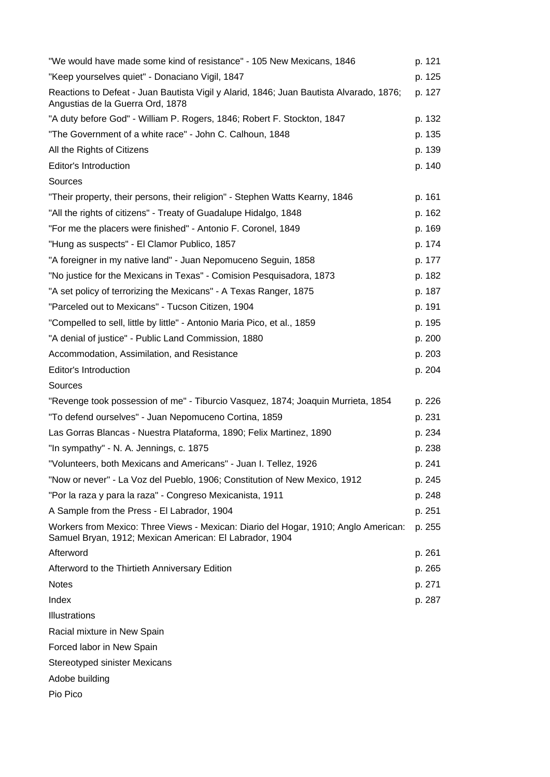| "We would have made some kind of resistance" - 105 New Mexicans, 1846                                                                          | p. 121 |
|------------------------------------------------------------------------------------------------------------------------------------------------|--------|
| "Keep yourselves quiet" - Donaciano Vigil, 1847                                                                                                | p. 125 |
| Reactions to Defeat - Juan Bautista Vigil y Alarid, 1846; Juan Bautista Alvarado, 1876;<br>Angustias de la Guerra Ord, 1878                    | p. 127 |
| "A duty before God" - William P. Rogers, 1846; Robert F. Stockton, 1847                                                                        | p. 132 |
| "The Government of a white race" - John C. Calhoun, 1848                                                                                       | p. 135 |
| All the Rights of Citizens                                                                                                                     | p. 139 |
| Editor's Introduction                                                                                                                          | p. 140 |
| Sources                                                                                                                                        |        |
| "Their property, their persons, their religion" - Stephen Watts Kearny, 1846                                                                   | p. 161 |
| "All the rights of citizens" - Treaty of Guadalupe Hidalgo, 1848                                                                               | p. 162 |
| "For me the placers were finished" - Antonio F. Coronel, 1849                                                                                  | p. 169 |
| "Hung as suspects" - El Clamor Publico, 1857                                                                                                   | p. 174 |
| "A foreigner in my native land" - Juan Nepomuceno Seguin, 1858                                                                                 | p. 177 |
| "No justice for the Mexicans in Texas" - Comision Pesquisadora, 1873                                                                           | p. 182 |
| "A set policy of terrorizing the Mexicans" - A Texas Ranger, 1875                                                                              | p. 187 |
| "Parceled out to Mexicans" - Tucson Citizen, 1904                                                                                              | p. 191 |
| "Compelled to sell, little by little" - Antonio Maria Pico, et al., 1859                                                                       | p. 195 |
| "A denial of justice" - Public Land Commission, 1880                                                                                           | p. 200 |
| Accommodation, Assimilation, and Resistance                                                                                                    | p. 203 |
| Editor's Introduction                                                                                                                          | p. 204 |
| Sources                                                                                                                                        |        |
| "Revenge took possession of me" - Tiburcio Vasquez, 1874; Joaquin Murrieta, 1854                                                               | p. 226 |
| "To defend ourselves" - Juan Nepomuceno Cortina, 1859                                                                                          | p. 231 |
| Las Gorras Blancas - Nuestra Plataforma, 1890; Felix Martinez, 1890                                                                            | p. 234 |
| "In sympathy" - N. A. Jennings, c. 1875                                                                                                        | p. 238 |
| "Volunteers, both Mexicans and Americans" - Juan I. Tellez, 1926                                                                               | p. 241 |
| "Now or never" - La Voz del Pueblo, 1906; Constitution of New Mexico, 1912                                                                     | p. 245 |
| "Por la raza y para la raza" - Congreso Mexicanista, 1911                                                                                      | p. 248 |
| A Sample from the Press - El Labrador, 1904                                                                                                    | p. 251 |
| Workers from Mexico: Three Views - Mexican: Diario del Hogar, 1910; Anglo American:<br>Samuel Bryan, 1912; Mexican American: El Labrador, 1904 | p. 255 |
| Afterword                                                                                                                                      | p. 261 |
| Afterword to the Thirtieth Anniversary Edition                                                                                                 | p. 265 |
| <b>Notes</b>                                                                                                                                   | p. 271 |
| Index                                                                                                                                          | p. 287 |
| Illustrations                                                                                                                                  |        |
| Racial mixture in New Spain                                                                                                                    |        |
| Forced labor in New Spain                                                                                                                      |        |
| <b>Stereotyped sinister Mexicans</b>                                                                                                           |        |
| Adobe building                                                                                                                                 |        |
| Pio Pico                                                                                                                                       |        |